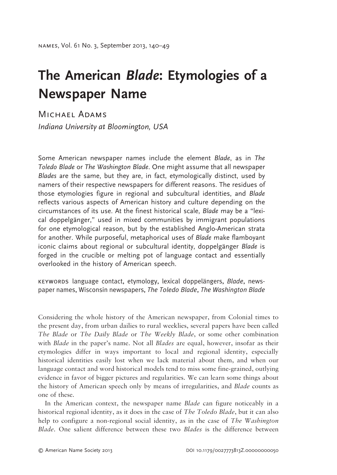## **The American** *Blade***: Etymologies of a Newspaper Name**

Michael Adams*Indiana University at Bloomington, USA*

Some American newspaper names include the element *Blade*, as in *The Toledo Blade* or *The Washington Blade*. One might assume that all newspaper *Blades* are the same, but they are, in fact, etymologically distinct, used by namers of their respective newspapers for different reasons. The residues of those etymologies figure in regional and subcultural identities, and *Blade* reflects various aspects of American history and culture depending on the circumstances of its use. At the finest historical scale, *Blade* may be a "lexical doppelgänger," used in mixed communities by immigrant populations for one etymological reason, but by the established Anglo-American strata for another. While purposeful, metaphorical uses of *Blade* make flamboyant iconic claims about regional or subcultural identity, doppelgänger *Blade* is forged in the crucible or melting pot of language contact and essentially overlooked in the history of American speech.

keywords language contact, etymology, lexical doppelängers, *Blade*, newspaper names, Wisconsin newspapers, *The Toledo Blade*, *The Washington Blade*

Considering the whole history of the American newspaper, from Colonial times to the present day, from urban dailies to rural weeklies, several papers have been called *The Blade* or *The Daily Blade* or *The Weekly Blade*, or some other combination with *Blade* in the paper's name. Not all *Blades* are equal, however, insofar as their etymologies differ in ways important to local and regional identity, especially historical identities easily lost when we lack material about them, and when our language contact and word historical models tend to miss some fine-grained, outlying evidence in favor of bigger pictures and regularities. We can learn some things about the history of American speech only by means of irregularities, and *Blade* counts as one of these.

In the American context, the newspaper name *Blade* can figure noticeably in a historical regional identity, as it does in the case of *The Toledo Blade*, but it can also help to configure a non-regional social identity, as in the case of *The Washington Blade*. One salient difference between these two *Blades* is the difference between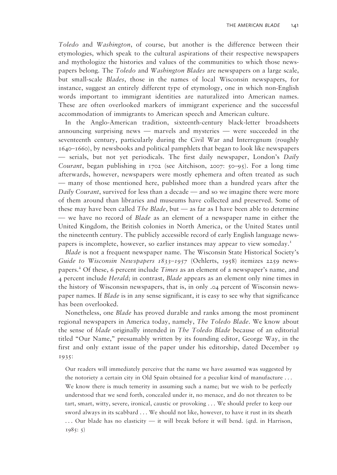*Toledo* and *Washington*, of course, but another is the difference between their etymologies, which speak to the cultural aspirations of their respective newspapers and mythologize the histories and values of the communities to which those newspapers belong. The *Toledo* and *Washington Blades* are newspapers on a large scale, but small-scale *Blades*, those in the names of local Wisconsin newspapers, for instance, suggest an entirely different type of etymology, one in which non-English words important to immigrant identities are naturalized into American names. These are often overlooked markers of immigrant experience and the successful accommodation of immigrants to American speech and American culture.

In the Anglo-American tradition, sixteenth-century black-letter broadsheets announcing surprising news — marvels and mysteries — were succeeded in the seventeenth century, particularly during the Civil War and Interregnum (roughly 1640–1660), by newsbooks and political pamphlets that began to look like news papers — serials, but not yet periodicals. The first daily newspaper, London's *Daily Courant*, began publishing in 1702 (see Aitchison, 2007: 50–95). For a long time afterwards, however, newspapers were mostly ephemera and often treated as such — many of those mentioned here, published more than a hundred years after the *Daily Courant*, survived for less than a decade — and so we imagine there were more of them around than libraries and museums have collected and preserved. Some of these may have been called *The Blade*, but — as far as I have been able to determine — we have no record of *Blade* as an element of a newspaper name in either the United Kingdom, the British colonies in North America, or the United States until the nineteenth century. The publicly accessible record of early English language newspapers is incomplete, however, so earlier instances may appear to view someday.1

*Blade* is not a frequent newspaper name. The Wisconsin State Historical Society's *Guide to Wisconsin Newspapers 1833*–*1957* (Oehlerts, 1958) itemizes 2259 newspapers.<sup>2</sup> Of these, 6 percent include *Times* as an element of a newspaper's name, and 4 percent include *Herald*; in contrast, *Blade* appears as an element only nine times in the history of Wisconsin newspapers, that is, in only .04 percent of Wisconsin newspaper names. If *Blade* is in any sense significant, it is easy to see why that significance has been overlooked.

Nonetheless, one *Blade* has proved durable and ranks among the most prominent regional newspapers in America today, namely, *The Toledo Blade*. We know about the sense of *blade* originally intended in *The Toledo Blade* because of an editorial titled "Our Name," presumably written by its founding editor, George Way, in the first and only extant issue of the paper under his editorship, dated December 19 1935:

Our readers will immediately perceive that the name we have assumed was suggested by the notoriety a certain city in Old Spain obtained for a peculiar kind of manufacture . . . We know there is much temerity in assuming such a name; but we wish to be perfectly understood that we send forth, concealed under it, no menace, and do not threaten to be tart, smart, witty, severe, ironical, caustic or provoking . . . We should prefer to keep our sword always in its scabbard . . . We should not like, however, to have it rust in its sheath . . . Our blade has no elasticity — it will break before it will bend. (qtd. in Harrison, 1985: 5)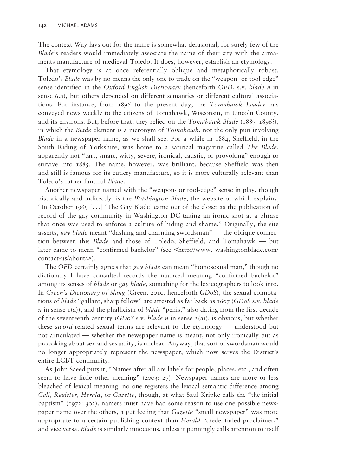The context Way lays out for the name is somewhat delusional, for surely few of the *Blade*'s readers would immediately associate the name of their city with the armaments manufacture of medieval Toledo. It does, however, establish an etymology.

That etymology is at once referentially oblique and metaphorically robust. Toledo's *Blade* was by no means the only one to trade on the "weapon- or tool-edge" sense identified in the *Oxford English Dictionary* (henceforth *OED*, s.v. *blade n* in sense 6.a), but others depended on different semantics or different cultural associations. For instance, from 1896 to the present day, the *Tomahawk Leader* has conveyed news weekly to the citizens of Tomahawk, Wisconsin, in Lincoln County, and its environs. But, before that, they relied on the *Tomahawk Blade* (1887–1896?), in which the *Blade* element is a meronym of *Tomahawk*, not the only pun involving *Blade* in a newspaper name, as we shall see. For a while in 1884, Sheffield, in the South Riding of Yorkshire, was home to a satirical magazine called *The Blade*, apparently not "tart, smart, witty, severe, ironical, caustic, or provoking" enough to survive into 1885. The name, however, was brilliant, because Sheffield was then and still is famous for its cutlery manufacture, so it is more culturally relevant than Toledo's rather fanciful *Blade*.

Another newspaper named with the "weapon- or tool-edge" sense in play, though historically and indirectly, is the *Washington Blade*, the website of which explains, "In October 1969  $[\dots]$  'The Gay Blade' came out of the closet as the publication of record of the gay community in Washington DC taking an ironic shot at a phrase that once was used to enforce a culture of hiding and shame." Originally, the site asserts, *gay blade* meant "dashing and charming swordsman" — the oblique connection between this *Blade* and those of Toledo, Sheffield, and Tomahawk — but later came to mean "confirmed bachelor" (see <http://www. washingtonblade.com/ contact-us/about/>).

The *OED* certainly agrees that *gay blade* can mean "homosexual man," though no dictionary I have consulted records the nuanced meaning "confirmed bachelor" among its senses of *blade* or *gay blade*, something for the lexicographers to look into. In *Green's Dictionary of Slang* (Green, 2010, henceforth *GDoS*), the sexual connotations of *blade* "gallant, sharp fellow" are attested as far back as 1607 (*GDoS* s.v. *blade*   $n$  in sense  $I(a)$ , and the phallicism of *blade* "penis," also dating from the first decade of the seventeenth century (*GDoS* s.v. *blade n* in sense 2(a)), is obvious, but whether these *sword*-related sexual terms are relevant to the etymology — understood but not articulated — whether the newspaper name is meant, not only ironically but as provoking about sex and sexuality, is unclear. Anyway, that sort of swordsman would no longer appropriately represent the newspaper, which now serves the District's entire LGBT community.

As John Saeed puts it, "Names after all are labels for people, places, etc., and often seem to have little other meaning" (2003: 27). Newspaper names are more or less bleached of lexical meaning: no one registers the lexical semantic difference among *Call*, *Register*, *Herald*, or *Gazette*, though, at what Saul Kripke calls the "the initial baptism" (1972: 302), namers must have had some reason to use one possible newspaper name over the others, a gut feeling that *Gazette* "small newspaper" was more appropriate to a certain publishing context than *Herald* "credentialed proclaimer," and vice versa. *Blade* is similarly innocuous, unless it punningly calls attention to itself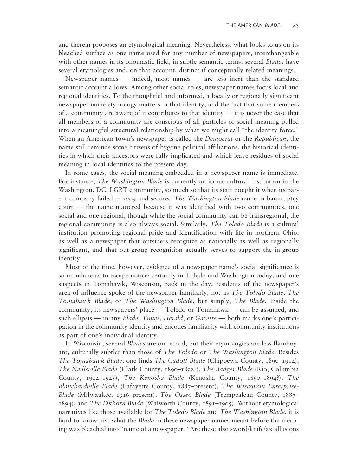and therein proposes an etymological meaning. Nevertheless, what looks to us on its bleached surface as one name used for any number of newspapers, interchangeable with other names in its onomastic field, in subtle semantic terms, several *Blades* have several etymologies and, on that account, distinct if conceptually related meanings.

Newspaper names — indeed, most names — are less inert than the standard semantic account allows. Among other social roles, newspaper names focus local and regional identities. To the thoughtful and informed, a locally or regionally significant newspaper name etymology matters in that identity, and the fact that some members of a community are aware of it contributes to that identity — it is never the case that all members of a community are conscious of all particles of social meaning pulled into a meaningful structural relationship by what we might call "the identity force." When an American town's newspaper is called the *Democrat* or the *Republican*, the name still reminds some citizens of bygone political affiliations, the historical identities in which their ancestors were fully implicated and which leave residues of social meaning in local identities to the present day.

In some cases, the social meaning embedded in a newspaper name is immediate. For instance, *The Washington Blade* is currently an iconic cultural institution in the Washington, DC, LGBT community, so much so that its staff bought it when its parent company failed in 2009 and secured *The Washington Blade* name in bankruptcy court — the name mattered because it was identified with two communities, one social and one regional, though while the social community can be transregional, the regional community is also always social. Similarly, *The Toledo Blade* is a cultural institution promoting regional pride and identification with life in northern Ohio, as well as a newspaper that outsiders recognize as nationally as well as regionally significant, and that out-group recognition actually serves to support the in-group identity.

Most of the time, however, evidence of a newspaper name's social significance is so mundane as to escape notice: certainly in Toledo and Washington today, and one suspects in Tomahawk, Wisconsin, back in the day, residents of the newspaper's area of influence spoke of the newspaper familiarly, not as *The Toledo Blade*, *The Tomahawk Blade*, or *The Washington Blade*, but simply, *The Blade*. Inside the community, its newspapers' place — Toledo or Tomahawk — can be assumed, and such ellipsis — in any *Blade*, *Times*, *Herald*, or *Gazette* — both marks one's participation in the community identity and encodes familiarity with community institutions as part of one's individual identity.

In Wisconsin, several *Blades* are on record, but their etymologies are less flamboyant, culturally subtler than those of *The Toledo* or *The Washington Blade*. Besides *The Tomahawk Blade*, one finds *The Cadott Blade* (Chippewa County, 1890–1914), *The Neillsville Blade* (Clark County, 1890–1892?), *The Badger Blade* (Rio, Columbia County, 1902–1925), *The Kenosha Blade* (Kenosha County, 1890–1894?), *The Blanchardville Blade* (Lafayette County, 1887–present), *The Wisconsin Enterprise-Blade* (Milwaukee, 1916–present), *The Osseo Blade* (Trempealeau County, 1887– 1894), and *The Elkhorn Blade* (Walworth County, 1891–1905). Without etymological narratives like those available for *The Toledo Blade* and *The Washington Blade*, it is hard to know just what the *Blade* in these newspaper names meant before the meaning was bleached into "name of a newspaper." Are these also sword/knife/ax allusions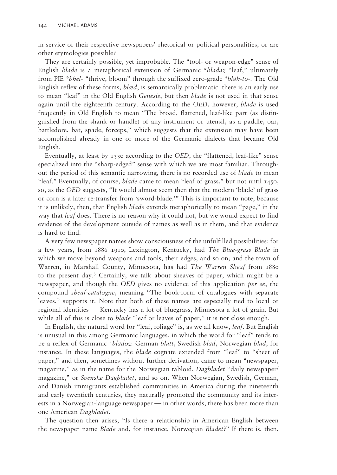in service of their respective newspapers' rhetorical or political personalities, or are other etymologies possible?

They are certainly possible, yet improbable. The "tool- or weapon-edge" sense of English *blade* is a metaphorical extension of Germanic \**bladaz* "leaf," ultimately from PIE \**bhel*- "thrive, bloom" through the suffixed zero-grade \**bl*ǝ*h-to*-. The Old English reflex of these forms, *blæd*, is semantically problematic: there is an early use to mean "leaf" in the Old English *Genesis*, but then *blade* is not used in that sense again until the eighteenth century. According to the *OED*, however, *blade* is used frequently in Old English to mean "The broad, flattened, leaf-like part (as distinguished from the shank or handle) of any instrument or utensil, as a paddle, oar, battledore, bat, spade, forceps," which suggests that the extension may have been accomplished already in one or more of the Germanic dialects that became Old English.

Eventually, at least by 1330 according to the *OED*, the "flattened, leaf-like" sense specialized into the "sharp-edged" sense with which we are most familiar. Throughout the period of this semantic narrowing, there is no recorded use of *blade* to mean "leaf." Eventually, of course, *blade* came to mean "leaf of grass," but not until 1450, so, as the *OED* suggests, "It would almost seem then that the modern 'blade' of grass or corn is a later re-transfer from 'sword-blade.'" This is important to note, because it is unlikely, then, that English *blade* extends metaphorically to mean "page," in the way that *leaf* does. There is no reason why it could not, but we would expect to find evidence of the development outside of names as well as in them, and that evidence is hard to find.

A very few newspaper names show consciousness of the unfulfilled possibilities: for a few years, from 1886–1910, Lexington, Kentucky, had *The Blue-grass Blade* in which we move beyond weapons and tools, their edges, and so on; and the town of Warren, in Marshall County, Minnesota, has had *The Warren Sheaf* from 1880 to the present day.3 Certainly, we talk about sheaves of paper, which might be a newspaper, and though the *OED* gives no evidence of this application *per se*, the compound *sheaf-catalogue*, meaning "The book-form of catalogues with separate leaves," supports it. Note that both of these names are especially tied to local or regional identities — Kentucky has a lot of bluegrass, Minnesota a lot of grain. But while all of this is close to *blade* "leaf or leaves of paper," it is not close enough.

In English, the natural word for "leaf, foliage" is, as we all know, *leaf*. But English is unusual in this among Germanic languages, in which the word for "leaf" tends to be a reflex of Germanic \**bladoz*: German *blatt*, Swedish *blad*, Norwegian *blad*, for instance. In these languages, the *blade* cognate extended from "leaf" to "sheet of paper," and then, sometimes without further derivation, came to mean "newspaper, magazine," as in the name for the Norwegian tabloid, *Dagbladet* "daily newspaper/ magazine," or *Svenske Dagbladet*, and so on. When Norwegian, Swedish, German, and Danish immigrants established communities in America during the nineteenth and early twentieth centuries, they naturally promoted the community and its interests in a Norwegian-language newspaper — in other words, there has been more than one American *Dagbladet*.

The question then arises, "Is there a relationship in American English between the newspaper name *Blade* and, for instance, Norwegian *Bladet*?" If there is, then,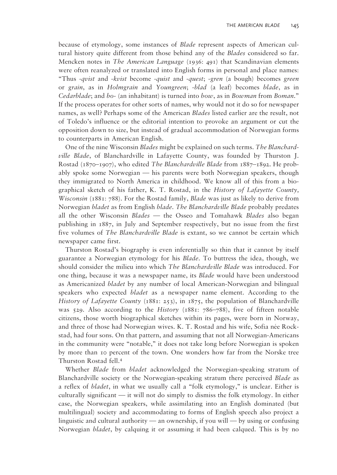because of etymology, some instances of *Blade* represent aspects of American cultural history quite different from those behind any of the *Blades* considered so far. Mencken notes in *The American Language* (1936: 491) that Scandinavian elements were often reanalyzed or translated into English forms in personal and place names: "Thus -*qvist* and -*kvist* become -*quist* and -*quest*; -*gren* (a bough) becomes *green* or *grain*, as in *Holmgrain* and *Youngreen*; -*blad* (a leaf) becomes *blade*, as in *Cedarblade*; and *bo*- (an inhabitant) is turned into *bow*, as in *Bowman* from *Boman*." If the process operates for other sorts of names, why would not it do so for newspaper names, as well? Perhaps some of the American *Blades* listed earlier are the result, not of Toledo's influence or the editorial intention to provoke an argument or cut the opposition down to size, but instead of gradual accommodation of Norwegian forms to counterparts in American English.

One of the nine Wisconsin *Blades* might be explained on such terms. *The Blanchardville Blade*, of Blanchardville in Lafayette County, was founded by Thurston J. Rostad (1870–1907), who edited *The Blanchardville Blade* from 1887–1892. He probably spoke some Norwegian — his parents were both Norwegian speakers, though they immigrated to North America in childhood. We know all of this from a biographical sketch of his father, K. T. Rostad, in the *History of Lafayette County, Wisconsin* (1881: 788). For the Rostad family, *Blade* was just as likely to derive from Norwegian *bladet* as from English *blade*. *The Blanchardville Blade* probably predates all the other Wisconsin *Blades* — the Osseo and Tomahawk *Blades* also began publishing in 1887, in July and September respectively, but no issue from the first five volumes of *The Blanchardville Blade* is extant, so we cannot be certain which newspaper came first.

Thurston Rostad's biography is even inferentially so thin that it cannot by itself guarantee a Norwegian etymology for his *Blade*. To buttress the idea, though, we should consider the milieu into which *The Blanchardville Blade* was introduced. For one thing, because it was a newspaper name, its *Blade* would have been understood as Americanized *bladet* by any number of local American-Norwegian and bilingual speakers who expected *bladet* as a newspaper name element. According to the *History of Lafayette County* (1881: 253), in 1875, the population of Blanchardville was 529. Also according to the *History* (1881: 786–788), five of fifteen notable citizens, those worth biographical sketches within its pages, were born in Norway, and three of those had Norwegian wives. K. T. Rostad and his wife, Sofia née Rockstad, had four sons. On that pattern, and assuming that not all Norwegian-Americans in the community were "notable," it does not take long before Norwegian is spoken by more than 10 percent of the town. One wonders how far from the Norske tree Thurston Rostad fell.4

Whether *Blade* from *bladet* acknowledged the Norwegian-speaking stratum of Blanchardville society or the Norwegian-speaking stratum there perceived *Blade* as a reflex of *bladet*, in what we usually call a "folk etymology," is unclear. Either is culturally significant — it will not do simply to dismiss the folk etymology. In either case, the Norwegian speakers, while assimilating into an English dominated (but multilingual) society and accommodating to forms of English speech also project a linguistic and cultural authority — an ownership, if you will — by using or confusing Norwegian *bladet*, by calquing it or assuming it had been calqued. This is by no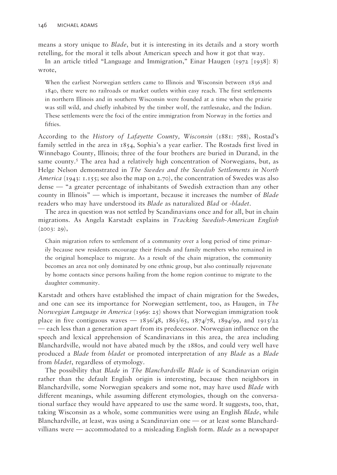means a story unique to *Blade*, but it is interesting in its details and a story worth retelling, for the moral it tells about American speech and how it got that way.

In an article titled "Language and Immigration," Einar Haugen (1972 [1938]: 8) wrote,

When the earliest Norwegian settlers came to Illinois and Wisconsin between 1836 and 1840, there were no railroads or market outlets within easy reach. The first settlements in northern Illinois and in southern Wisconsin were founded at a time when the prairie was still wild, and chiefly inhabited by the timber wolf, the rattlesnake, and the Indian. These settlements were the foci of the entire immigration from Norway in the forties and fifties.

According to the *History of Lafayette County, Wisconsin* (1881: 788), Rostad's family settled in the area in 1854, Sophia's a year earlier. The Rostads first lived in Winnebago County, Illinois; three of the four brothers are buried in Durand, in the same county.<sup>5</sup> The area had a relatively high concentration of Norwegians, but, as Helge Nelson demonstrated in *The Swedes and the Swedish Settlements in North America* (1943: 1.155; see also the map on 2.70), the concentration of Swedes was also dense — "a greater percentage of inhabitants of Swedish extraction than any other county in Illinois" — which is important, because it increases the number of *Blade* readers who may have understood its *Blade* as naturalized *Blad* or -*bladet*.

The area in question was not settled by Scandinavians once and for all, but in chain migrations. As Angela Karstadt explains in *Tracking Swedish-American English*  $(2003: 29),$ 

Chain migration refers to settlement of a community over a long period of time primarily because new residents encourage their friends and family members who remained in the original homeplace to migrate. As a result of the chain migration, the community becomes an area not only dominated by one ethnic group, but also continually rejuvenate by home contacts since persons hailing from the home region continue to migrate to the daughter community.

Karstadt and others have established the impact of chain migration for the Swedes, and one can see its importance for Norwegian settlement, too, as Haugen, in *The Norwegian Language in America* (1969: 25) shows that Norwegian immigration took place in five contiguous waves —  $1836/48$ ,  $1863/65$ ,  $1874/78$ ,  $1894/99$ , and  $1915/22$ — each less than a generation apart from its predecessor. Norwegian influence on the speech and lexical apprehension of Scandinavians in this area, the area including Blanchardville, would not have abated much by the 1880s, and could very well have produced a *Blade* from *bladet* or promoted interpretation of any *Blade* as a *Blade* from *bladet*, regardless of etymology.

The possibility that *Blade* in *The Blanchardville Blade* is of Scandinavian origin rather than the default English origin is interesting, because then neighbors in Blanchardville, some Norwegian speakers and some not, may have used *Blade* with different meanings, while assuming different etymologies, though on the conversational surface they would have appeared to use the same word. It suggests, too, that, taking Wisconsin as a whole, some communities were using an English *Blade*, while Blanchardville, at least, was using a Scandinavian one — or at least some Blanchardvillians were — accommodated to a misleading English form. *Blade* as a newspaper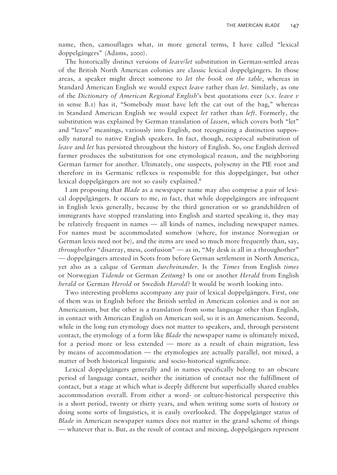name, then, camouflages what, in more general terms, I have called "lexical doppelgängers" (Adams, 2000).

The historically distinct versions of *leave/let* substitution in German-settled areas of the British North American colonies are classic lexical doppelgängers. In those areas, a speaker might direct someone to *let the book on the table*, whereas in Standard American English we would expect *leave* rather than *let*. Similarly, as one of the *Dictionary of American Regional English*'s best quotations ever (s.v. *leave v* in sense B.1) has it, "Somebody must have left the cat out of the bag," whereas in Standard American English we would expect *let* rather than *left*. Formerly, the substitution was explained by German translation of *lassen*, which covers both "let" and "leave" meanings, variously into English, not recognizing a distinction supposedly natural to native English speakers. In fact, though, reciprocal substitution of *leave* and *let* has persisted throughout the history of English. So, one English derived farmer produces the substitution for one etymological reason, and the neighboring German farmer for another. Ultimately, one suspects, polysemy in the PIE root and therefore in its Germanic reflexes is responsible for this doppelgänger, but other lexical doppelgängers are not so easily explained.<sup>6</sup>

I am proposing that *Blade* as a newspaper name may also comprise a pair of lexical doppelgängers. It occurs to me, in fact, that while doppelgängers are infrequent in English lexis generally, because by the third generation or so grandchildren of immigrants have stopped translating into English and started speaking it, they may be relatively frequent in names — all kinds of names, including newspaper names. For names must be accommodated somehow (where, for instance Norwegian or German lexis need not be), and the items are used so much more frequently than, say, *throughother* "disarray, mess, confusion" — as in, "My desk is all in a throughother" — doppelgängers attested in Scots from before German settlement in North America, yet also as a calque of German *durcheinander*. Is the *Times* from English *times* or Norwegian *Tidende* or German *Zeitung*? Is one or another *Herald* from English *herald* or German *Herold* or Swedish *Harold*? It would be worth looking into.

Two interesting problems accompany any pair of lexical doppelgängers. First, one of them was in English before the British settled in American colonies and is not an Americanism, but the other is a translation from some language other than English, in contact with American English on American soil, so it is an Americanism. Second, while in the long run etymology does not matter to speakers, and, through persistent contact, the etymology of a form like *Blade* the newspaper name is ultimately mixed, for a period more or less extended — more as a result of chain migration, less by means of accommodation — the etymologies are actually parallel, not mixed, a matter of both historical linguistic and socio-historical significance.

Lexical doppelgängers generally and in names specifically belong to an obscure period of language contact, neither the initiation of contact nor the fulfillment of contact, but a stage at which what is deeply different but superficially shared enables accommodation overall. From either a word- or culture-historical perspective this is a short period, twenty or thirty years, and when writing some sorts of history or doing some sorts of linguistics, it is easily overlooked. The doppelgänger status of *Blade* in American newspaper names does not matter in the grand scheme of things — whatever that is. But, as the result of contact and mixing, doppelgängers represent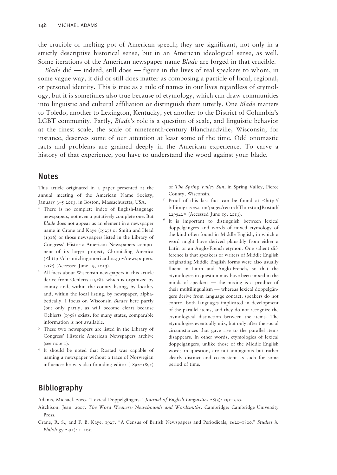the crucible or melting pot of American speech; they are significant, not only in a strictly descriptive historical sense, but in an American ideological sense, as well. Some iterations of the American newspaper name *Blade* are forged in that crucible.

*Blade* did — indeed, still does — figure in the lives of real speakers to whom, in some vague way, it did or still does matter as composing a particle of local, regional, or personal identity. This is true as a rule of names in our lives regardless of etymology, but it is sometimes also true because of etymology, which can draw communities into linguistic and cultural affiliation or distinguish them utterly. One *Blade* matters to Toledo, another to Lexington, Kentucky, yet another to the District of Columbia's LGBT community. Partly, *Blade*'s role is a question of scale, and linguistic behavior at the finest scale, the scale of nineteenth-century Blanchardville, Wisconsin, for instance, deserves some of our attention at least some of the time. Odd onomastic facts and problems are grained deeply in the American experience. To carve a history of that experience, you have to understand the wood against your blade.

## Notes

This article originated in a paper presented at the annual meeting of the American Name Society, January 3–5 2013, in Boston, Massachusetts, USA.

- There is no complete index of English-language newspapers, not even a putatively complete one. But *Blade* does not appear as an element in a newspaper name in Crane and Kaye (1927) or Smith and Head (1916) or those newspapers listed in the Library of Congress' Historic American Newspapers component of its larger project, Chronicling America (<http://chroniclingamerica.loc.gov/newspapers. txt>) (Accessed June 19, 2013).
- All facts about Wisconsin newspapers in this article derive from Oehlerts (1958), which is organized by county and, within the county listing, by locality and, within the local listing, by newspaper, alphabetically. I focus on Wisconsin *Blades* here partly (but only partly, as will become clear) because Oehlerts (1958) exists; for many states, comparable information is not available.
- <sup>3</sup> These two newspapers are listed in the Library of Congress' Historic American Newspapers archive (see note 1).
- 4 It should be noted that Rostad was capable of naming a newspaper without a trace of Norwegian influence: he was also founding editor  $(1892-1895)$

of *The Spring Valley Sun*, in Spring Valley, Pierce County, Wisconsin.

- 5 Proof of this last fact can be found at <http:// billiongraves.com/pages/record/ThurstonJRostad/ 229942> (Accessed June 19, 2013).
- 6 It is important to distinguish between lexical doppelgängers and words of mixed etymology of the kind often found in Middle English, in which a word might have derived plausibly from either a Latin or an Anglo-French etymon. One salient difference is that speakers or writers of Middle English originating Middle English forms were also usually fluent in Latin and Anglo-French, so that the etymologies in question may have been mixed in the minds of speakers — the mixing is a product of their multilingualism — whereas lexical doppelgängers derive from language contact, speakers do not control both languages implicated in development of the parallel items, and they do not recognize the etymological distinction between the items. The etymologies eventually mix, but only after the social circumstances that gave rise to the parallel items disappears. In other words, etymologies of lexical doppelgängers, unlike those of the Middle English words in question, are not ambiguous but rather clearly distinct and co-existent as such for some period of time.

## Bibliography

Adams, Michael. 2000. "Lexical Doppelgängers." *Journal of English Linguistics* 28(3): 295–310.

- Aitchison, Jean. 2007. *The Word Weavers: Newshounds and Wordsmiths*. Cambridge: Cambridge University Press.
- Crane, R. S., and F. B. Kaye. 1927. "A Census of British Newspapers and Periodicals, 1620–1800." *Studies in Philology* 24(1): 1-205.